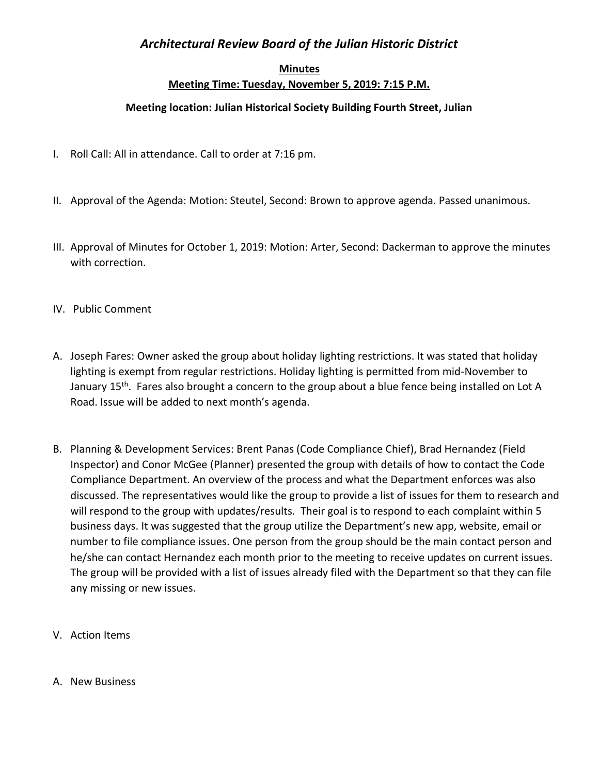## *Architectural Review Board of the Julian Historic District*

## **Minutes Meeting Time: Tuesday, November 5, 2019: 7:15 P.M.**

## **Meeting location: Julian Historical Society Building Fourth Street, Julian**

- I. Roll Call: All in attendance. Call to order at 7:16 pm.
- II. Approval of the Agenda: Motion: Steutel, Second: Brown to approve agenda. Passed unanimous.
- III. Approval of Minutes for October 1, 2019: Motion: Arter, Second: Dackerman to approve the minutes with correction.
- IV. Public Comment
- A. Joseph Fares: Owner asked the group about holiday lighting restrictions. It was stated that holiday lighting is exempt from regular restrictions. Holiday lighting is permitted from mid-November to January 15<sup>th</sup>. Fares also brought a concern to the group about a blue fence being installed on Lot A Road. Issue will be added to next month's agenda.
- B. Planning & Development Services: Brent Panas (Code Compliance Chief), Brad Hernandez (Field Inspector) and Conor McGee (Planner) presented the group with details of how to contact the Code Compliance Department. An overview of the process and what the Department enforces was also discussed. The representatives would like the group to provide a list of issues for them to research and will respond to the group with updates/results. Their goal is to respond to each complaint within 5 business days. It was suggested that the group utilize the Department's new app, website, email or number to file compliance issues. One person from the group should be the main contact person and he/she can contact Hernandez each month prior to the meeting to receive updates on current issues. The group will be provided with a list of issues already filed with the Department so that they can file any missing or new issues.
- V. Action Items
- A. New Business